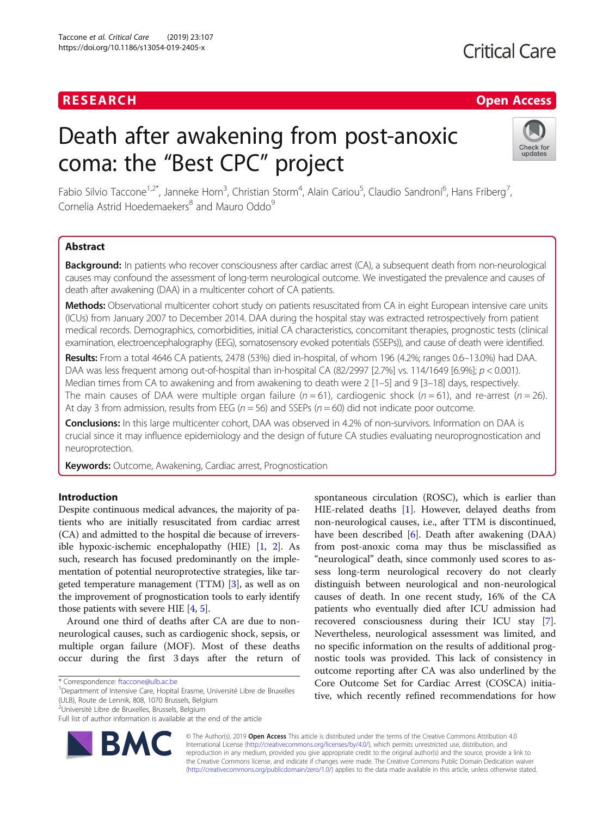## **RESEARCH CHE Open Access**

# Death after awakening from post-anoxic coma: the "Best CPC" project



Fabio Silvio Taccone<sup>1,2\*</sup>, Janneke Horn<sup>3</sup>, Christian Storm<sup>4</sup>, Alain Cariou<sup>5</sup>, Claudio Sandroni<sup>6</sup>, Hans Friberg<sup>7</sup> , Cornelia Astrid Hoedemaekers<sup>8</sup> and Mauro Oddo<sup>9</sup>

### Abstract

Background: In patients who recover consciousness after cardiac arrest (CA), a subsequent death from non-neurological causes may confound the assessment of long-term neurological outcome. We investigated the prevalence and causes of death after awakening (DAA) in a multicenter cohort of CA patients.

Methods: Observational multicenter cohort study on patients resuscitated from CA in eight European intensive care units (ICUs) from January 2007 to December 2014. DAA during the hospital stay was extracted retrospectively from patient medical records. Demographics, comorbidities, initial CA characteristics, concomitant therapies, prognostic tests (clinical examination, electroencephalography (EEG), somatosensory evoked potentials (SSEPs)), and cause of death were identified.

Results: From a total 4646 CA patients, 2478 (53%) died in-hospital, of whom 196 (4.2%; ranges 0.6–13.0%) had DAA. DAA was less frequent among out-of-hospital than in-hospital CA (82/2997 [2.7%] vs. 114/1649 [6.9%];  $p < 0.001$ ). Median times from CA to awakening and from awakening to death were 2 [1–5] and 9 [3–18] days, respectively. The main causes of DAA were multiple organ failure  $(n = 61)$ , cardiogenic shock  $(n = 61)$ , and re-arrest  $(n = 26)$ . At day 3 from admission, results from EEG ( $n = 56$ ) and SSEPs ( $n = 60$ ) did not indicate poor outcome.

Conclusions: In this large multicenter cohort, DAA was observed in 4.2% of non-survivors. Information on DAA is crucial since it may influence epidemiology and the design of future CA studies evaluating neuroprognostication and neuroprotection.

Keywords: Outcome, Awakening, Cardiac arrest, Prognostication

#### Introduction

Despite continuous medical advances, the majority of patients who are initially resuscitated from cardiac arrest (CA) and admitted to the hospital die because of irreversible hypoxic-ischemic encephalopathy (HIE) [\[1](#page-7-0), [2\]](#page-7-0). As such, research has focused predominantly on the implementation of potential neuroprotective strategies, like targeted temperature management (TTM) [\[3\]](#page-7-0), as well as on the improvement of prognostication tools to early identify those patients with severe HIE [\[4,](#page-7-0) [5](#page-7-0)].

Around one third of deaths after CA are due to nonneurological causes, such as cardiogenic shock, sepsis, or multiple organ failure (MOF). Most of these deaths occur during the first 3 days after the return of

<sup>1</sup>Department of Intensive Care, Hopital Erasme, Université Libre de Bruxelles (ULB), Route de Lennik, 808, 1070 Brussels, Belgium

<sup>2</sup>Université Libre de Bruxelles, Brussels, Belgium

Full list of author information is available at the end of the article



spontaneous circulation (ROSC), which is earlier than HIE-related deaths [\[1](#page-7-0)]. However, delayed deaths from non-neurological causes, i.e., after TTM is discontinued, have been described [[6](#page-7-0)]. Death after awakening (DAA) from post-anoxic coma may thus be misclassified as "neurological" death, since commonly used scores to assess long-term neurological recovery do not clearly distinguish between neurological and non-neurological causes of death. In one recent study, 16% of the CA patients who eventually died after ICU admission had recovered consciousness during their ICU stay [\[7](#page-7-0)]. Nevertheless, neurological assessment was limited, and no specific information on the results of additional prognostic tools was provided. This lack of consistency in outcome reporting after CA was also underlined by the Core Outcome Set for Cardiac Arrest (COSCA) initiative, which recently refined recommendations for how

© The Author(s). 2019 Open Access This article is distributed under the terms of the Creative Commons Attribution 4.0 International License [\(http://creativecommons.org/licenses/by/4.0/](http://creativecommons.org/licenses/by/4.0/)), which permits unrestricted use, distribution, and reproduction in any medium, provided you give appropriate credit to the original author(s) and the source, provide a link to the Creative Commons license, and indicate if changes were made. The Creative Commons Public Domain Dedication waiver [\(http://creativecommons.org/publicdomain/zero/1.0/](http://creativecommons.org/publicdomain/zero/1.0/)) applies to the data made available in this article, unless otherwise stated.

<sup>\*</sup> Correspondence: [ftaccone@ulb.ac.be](mailto:ftaccone@ulb.ac.be) <sup>1</sup>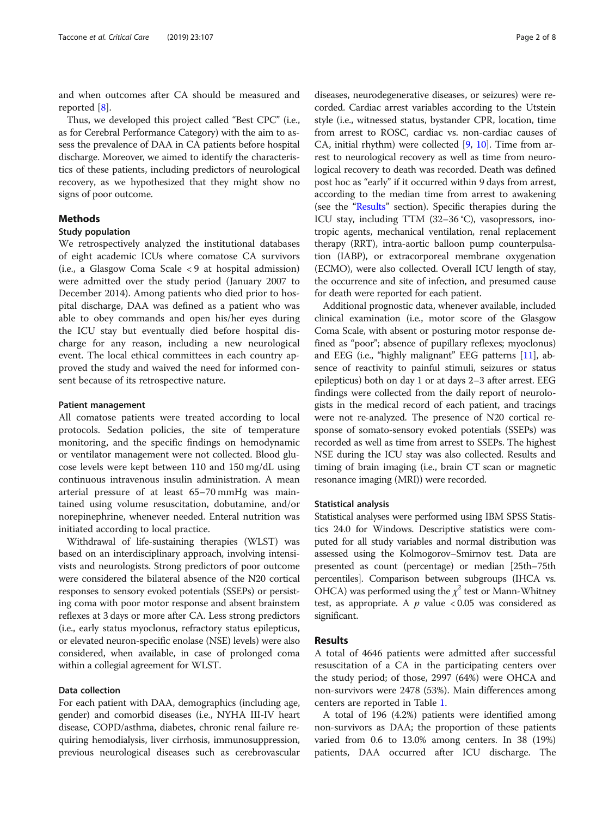and when outcomes after CA should be measured and reported [[8\]](#page-7-0).

Thus, we developed this project called "Best CPC" (i.e., as for Cerebral Performance Category) with the aim to assess the prevalence of DAA in CA patients before hospital discharge. Moreover, we aimed to identify the characteristics of these patients, including predictors of neurological recovery, as we hypothesized that they might show no signs of poor outcome.

#### Methods

#### Study population

We retrospectively analyzed the institutional databases of eight academic ICUs where comatose CA survivors (i.e., a Glasgow Coma Scale < 9 at hospital admission) were admitted over the study period (January 2007 to December 2014). Among patients who died prior to hospital discharge, DAA was defined as a patient who was able to obey commands and open his/her eyes during the ICU stay but eventually died before hospital discharge for any reason, including a new neurological event. The local ethical committees in each country approved the study and waived the need for informed consent because of its retrospective nature.

#### Patient management

All comatose patients were treated according to local protocols. Sedation policies, the site of temperature monitoring, and the specific findings on hemodynamic or ventilator management were not collected. Blood glucose levels were kept between 110 and 150 mg/dL using continuous intravenous insulin administration. A mean arterial pressure of at least 65–70 mmHg was maintained using volume resuscitation, dobutamine, and/or norepinephrine, whenever needed. Enteral nutrition was initiated according to local practice.

Withdrawal of life-sustaining therapies (WLST) was based on an interdisciplinary approach, involving intensivists and neurologists. Strong predictors of poor outcome were considered the bilateral absence of the N20 cortical responses to sensory evoked potentials (SSEPs) or persisting coma with poor motor response and absent brainstem reflexes at 3 days or more after CA. Less strong predictors (i.e., early status myoclonus, refractory status epilepticus, or elevated neuron-specific enolase (NSE) levels) were also considered, when available, in case of prolonged coma within a collegial agreement for WLST.

#### Data collection

For each patient with DAA, demographics (including age, gender) and comorbid diseases (i.e., NYHA III-IV heart disease, COPD/asthma, diabetes, chronic renal failure requiring hemodialysis, liver cirrhosis, immunosuppression, previous neurological diseases such as cerebrovascular

diseases, neurodegenerative diseases, or seizures) were recorded. Cardiac arrest variables according to the Utstein style (i.e., witnessed status, bystander CPR, location, time from arrest to ROSC, cardiac vs. non-cardiac causes of CA, initial rhythm) were collected [\[9,](#page-7-0) [10\]](#page-7-0). Time from arrest to neurological recovery as well as time from neurological recovery to death was recorded. Death was defined post hoc as "early" if it occurred within 9 days from arrest, according to the median time from arrest to awakening (see the "Results" section). Specific therapies during the ICU stay, including TTM (32–36 °C), vasopressors, inotropic agents, mechanical ventilation, renal replacement therapy (RRT), intra-aortic balloon pump counterpulsation (IABP), or extracorporeal membrane oxygenation (ECMO), were also collected. Overall ICU length of stay, the occurrence and site of infection, and presumed cause for death were reported for each patient.

Additional prognostic data, whenever available, included clinical examination (i.e., motor score of the Glasgow Coma Scale, with absent or posturing motor response defined as "poor"; absence of pupillary reflexes; myoclonus) and EEG (i.e., "highly malignant" EEG patterns [[11](#page-7-0)], absence of reactivity to painful stimuli, seizures or status epilepticus) both on day 1 or at days 2–3 after arrest. EEG findings were collected from the daily report of neurologists in the medical record of each patient, and tracings were not re-analyzed. The presence of N20 cortical response of somato-sensory evoked potentials (SSEPs) was recorded as well as time from arrest to SSEPs. The highest NSE during the ICU stay was also collected. Results and timing of brain imaging (i.e., brain CT scan or magnetic resonance imaging (MRI)) were recorded.

#### Statistical analysis

Statistical analyses were performed using IBM SPSS Statistics 24.0 for Windows. Descriptive statistics were computed for all study variables and normal distribution was assessed using the Kolmogorov–Smirnov test. Data are presented as count (percentage) or median [25th–75th percentiles]. Comparison between subgroups (IHCA vs. OHCA) was performed using the  $\chi^2$  test or Mann-Whitney test, as appropriate. A  $p$  value < 0.05 was considered as significant.

#### Results

A total of 4646 patients were admitted after successful resuscitation of a CA in the participating centers over the study period; of those, 2997 (64%) were OHCA and non-survivors were 2478 (53%). Main differences among centers are reported in Table [1.](#page-2-0)

A total of 196 (4.2%) patients were identified among non-survivors as DAA; the proportion of these patients varied from 0.6 to 13.0% among centers. In 38 (19%) patients, DAA occurred after ICU discharge. The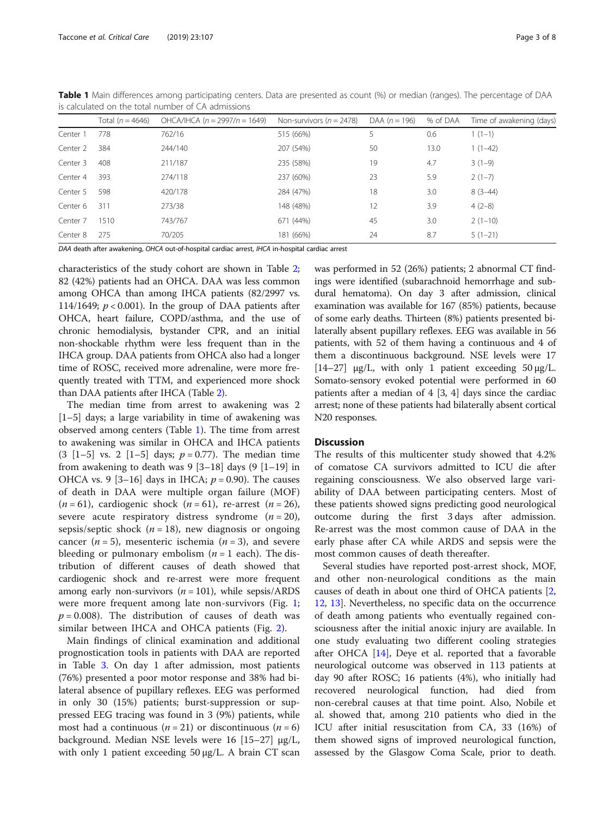|          | Total $(n = 4646)$ | OHCA/IHCA $(n = 2997/n = 1649)$ | Non-survivors ( $n = 2478$ ) | DAA $(n = 196)$ | % of DAA | Time of awakening (days) |
|----------|--------------------|---------------------------------|------------------------------|-----------------|----------|--------------------------|
| Center 1 | 778                | 762/16                          | 515 (66%)                    |                 | 0.6      | $1(1-1)$                 |
| Center 2 | 384                | 244/140                         | 207 (54%)                    | 50              | 13.0     | $1(1-42)$                |
| Center 3 | 408                | 211/187                         | 235 (58%)                    | 19              | 4.7      | $3(1-9)$                 |
| Center 4 | 393                | 274/118                         | 237 (60%)                    | 23              | 5.9      | $2(1-7)$                 |
| Center 5 | 598                | 420/178                         | 284 (47%)                    | 18              | 3.0      | $8(3-44)$                |
| Center 6 | 311                | 273/38                          | 148 (48%)                    | 12              | 3.9      | $4(2-8)$                 |
| Center 7 | 1510               | 743/767                         | 671 (44%)                    | 45              | 3.0      | $2(1-10)$                |
| Center 8 | 275                | 70/205                          | 181 (66%)                    | 24              | 8.7      | $5(1-21)$                |

<span id="page-2-0"></span>Table 1 Main differences among participating centers. Data are presented as count (%) or median (ranges). The percentage of DAA is calculated on the total number of CA admissions

DAA death after awakening, OHCA out-of-hospital cardiac arrest, IHCA in-hospital cardiac arrest

characteristics of the study cohort are shown in Table [2](#page-3-0); 82 (42%) patients had an OHCA. DAA was less common among OHCA than among IHCA patients (82/2997 vs. 114/1649;  $p < 0.001$ ). In the group of DAA patients after OHCA, heart failure, COPD/asthma, and the use of chronic hemodialysis, bystander CPR, and an initial non-shockable rhythm were less frequent than in the IHCA group. DAA patients from OHCA also had a longer time of ROSC, received more adrenaline, were more frequently treated with TTM, and experienced more shock than DAA patients after IHCA (Table [2\)](#page-3-0).

The median time from arrest to awakening was 2 [1–5] days; a large variability in time of awakening was observed among centers (Table 1). The time from arrest to awakening was similar in OHCA and IHCA patients  $(3 \; [1-5] \; \text{vs.} \; 2 \; [1-5] \; \text{days}; \; p = 0.77)$ . The median time from awakening to death was  $9[3-18]$  days  $(9[1-19]$  in OHCA vs. 9 [3-16] days in IHCA;  $p = 0.90$ ). The causes of death in DAA were multiple organ failure (MOF)  $(n = 61)$ , cardiogenic shock  $(n = 61)$ , re-arrest  $(n = 26)$ , severe acute respiratory distress syndrome  $(n = 20)$ , sepsis/septic shock ( $n = 18$ ), new diagnosis or ongoing cancer ( $n = 5$ ), mesenteric ischemia ( $n = 3$ ), and severe bleeding or pulmonary embolism  $(n = 1$  each). The distribution of different causes of death showed that cardiogenic shock and re-arrest were more frequent among early non-survivors  $(n = 101)$ , while sepsis/ARDS were more frequent among late non-survivors (Fig. [1](#page-4-0);  $p = 0.008$ ). The distribution of causes of death was similar between IHCA and OHCA patients (Fig. [2\)](#page-4-0).

Main findings of clinical examination and additional prognostication tools in patients with DAA are reported in Table [3.](#page-5-0) On day 1 after admission, most patients (76%) presented a poor motor response and 38% had bilateral absence of pupillary reflexes. EEG was performed in only 30 (15%) patients; burst-suppression or suppressed EEG tracing was found in 3 (9%) patients, while most had a continuous ( $n = 21$ ) or discontinuous ( $n = 6$ ) background. Median NSE levels were 16 [15–27] μg/L, with only 1 patient exceeding 50 μg/L. A brain CT scan

was performed in 52 (26%) patients; 2 abnormal CT findings were identified (subarachnoid hemorrhage and subdural hematoma). On day 3 after admission, clinical examination was available for 167 (85%) patients, because of some early deaths. Thirteen (8%) patients presented bilaterally absent pupillary reflexes. EEG was available in 56 patients, with 52 of them having a continuous and 4 of them a discontinuous background. NSE levels were 17 [ $14-27$ ]  $\mu$ g/L, with only 1 patient exceeding  $50 \mu$ g/L. Somato-sensory evoked potential were performed in 60 patients after a median of 4 [3, 4] days since the cardiac arrest; none of these patients had bilaterally absent cortical N20 responses.

#### **Discussion**

The results of this multicenter study showed that 4.2% of comatose CA survivors admitted to ICU die after regaining consciousness. We also observed large variability of DAA between participating centers. Most of these patients showed signs predicting good neurological outcome during the first 3 days after admission. Re-arrest was the most common cause of DAA in the early phase after CA while ARDS and sepsis were the most common causes of death thereafter.

Several studies have reported post-arrest shock, MOF, and other non-neurological conditions as the main causes of death in about one third of OHCA patients [[2](#page-7-0), [12,](#page-7-0) [13\]](#page-7-0). Nevertheless, no specific data on the occurrence of death among patients who eventually regained consciousness after the initial anoxic injury are available. In one study evaluating two different cooling strategies after OHCA [\[14\]](#page-7-0), Deye et al. reported that a favorable neurological outcome was observed in 113 patients at day 90 after ROSC; 16 patients (4%), who initially had recovered neurological function, had died from non-cerebral causes at that time point. Also, Nobile et al. showed that, among 210 patients who died in the ICU after initial resuscitation from CA, 33 (16%) of them showed signs of improved neurological function, assessed by the Glasgow Coma Scale, prior to death.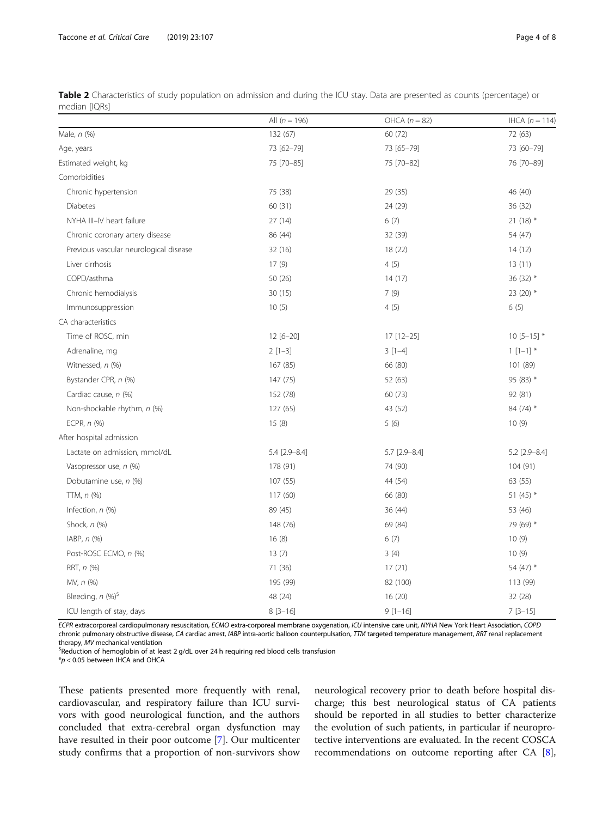<span id="page-3-0"></span>

| Table 2 Characteristics of study population on admission and during the ICU stay. Data are presented as counts (percentage) or |  |
|--------------------------------------------------------------------------------------------------------------------------------|--|
| median [IQRs]                                                                                                                  |  |

|                                        | All $(n = 196)$ | OHCA $(n = 82)$ | IHCA $(n=114)$  |
|----------------------------------------|-----------------|-----------------|-----------------|
| Male, n (%)                            | 132 (67)        | 60 (72)         | 72 (63)         |
| Age, years                             | 73 [62-79]      | 73 [65-79]      | 73 [60-79]      |
| Estimated weight, kg                   | 75 [70-85]      | 75 [70-82]      | 76 [70-89]      |
| Comorbidities                          |                 |                 |                 |
| Chronic hypertension                   | 75 (38)         | 29 (35)         | 46 (40)         |
| <b>Diabetes</b>                        | 60 (31)         | 24 (29)         | 36 (32)         |
| NYHA III-IV heart failure              | 27(14)          | 6(7)            | $21(18)$ *      |
| Chronic coronary artery disease        | 86 (44)         | 32 (39)         | 54 (47)         |
| Previous vascular neurological disease | 32 (16)         | 18 (22)         | 14(12)          |
| Liver cirrhosis                        | 17(9)           | 4(5)            | 13(11)          |
| COPD/asthma                            | 50 (26)         | 14(17)          | 36 (32) *       |
| Chronic hemodialysis                   | 30 (15)         | 7(9)            | 23 (20) *       |
| Immunosuppression                      | 10(5)           | 4(5)            | 6(5)            |
| CA characteristics                     |                 |                 |                 |
| Time of ROSC, min                      | 12 [6-20]       | 17 [12-25]      | $10$ [5-15] $*$ |
| Adrenaline, mg                         | $2[1-3]$        | $3[1-4]$        | $1 [1 - 1]$ *   |
| Witnessed, n (%)                       | 167 (85)        | 66 (80)         | 101 (89)        |
| Bystander CPR, n (%)                   | 147 (75)        | 52 (63)         | 95 (83) *       |
| Cardiac cause, n (%)                   | 152 (78)        | 60 (73)         | 92 (81)         |
| Non-shockable rhythm, n (%)            | 127(65)         | 43 (52)         | 84 (74) *       |
| ECPR, $n$ $(\%)$                       | 15(8)           | 5(6)            | 10(9)           |
| After hospital admission               |                 |                 |                 |
| Lactate on admission, mmol/dL          | 5.4 [2.9-8.4]   | $5.7$ [2.9-8.4] | $5.2$ [2.9-8.4] |
| Vasopressor use, n (%)                 | 178 (91)        | 74 (90)         | 104 (91)        |
| Dobutamine use, n (%)                  | 107 (55)        | 44 (54)         | 63 (55)         |
| $TTM, n$ $(\%)$                        | 117(60)         | 66 (80)         | 51 $(45)$ *     |
| Infection, $n$ $(\%)$                  | 89 (45)         | 36(44)          | 53 (46)         |
| Shock, n (%)                           | 148 (76)        | 69 (84)         | 79 (69) *       |
| IABP, $n$ $(\%)$                       | 16(8)           | 6(7)            | 10(9)           |
| Post-ROSC ECMO, n (%)                  | 13(7)           | 3(4)            | 10(9)           |
| RRT, n (%)                             | 71 (36)         | 17(21)          | 54 $(47)$ *     |
| MV, n (%)                              | 195 (99)        | 82 (100)        | 113 (99)        |
| Bleeding, $n$ (%) <sup>\$</sup>        | 48 (24)         | 16(20)          | 32 (28)         |
| ICU length of stay, days               | $8[3-16]$       | $9[1-16]$       | $7$ [3-15]      |

ECPR extracorporeal cardiopulmonary resuscitation, ECMO extra-corporeal membrane oxygenation, ICU intensive care unit, NYHA New York Heart Association, COPD chronic pulmonary obstructive disease, CA cardiac arrest, IABP intra-aortic balloon counterpulsation, TTM targeted temperature management, RRT renal replacement therapy, MV mechanical ventilation

 $S$ Reduction of hemoglobin of at least 2 g/dL over 24 h requiring red blood cells transfusion

 $*p$  < 0.05 between IHCA and OHCA

These patients presented more frequently with renal, cardiovascular, and respiratory failure than ICU survivors with good neurological function, and the authors concluded that extra-cerebral organ dysfunction may have resulted in their poor outcome [[7](#page-7-0)]. Our multicenter study confirms that a proportion of non-survivors show neurological recovery prior to death before hospital discharge; this best neurological status of CA patients should be reported in all studies to better characterize the evolution of such patients, in particular if neuroprotective interventions are evaluated. In the recent COSCA recommendations on outcome reporting after CA [\[8](#page-7-0)],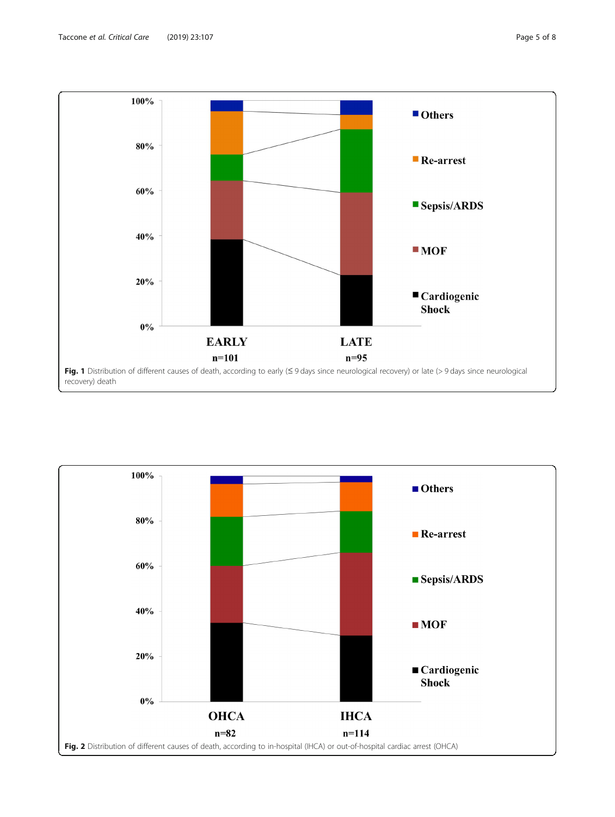<span id="page-4-0"></span>

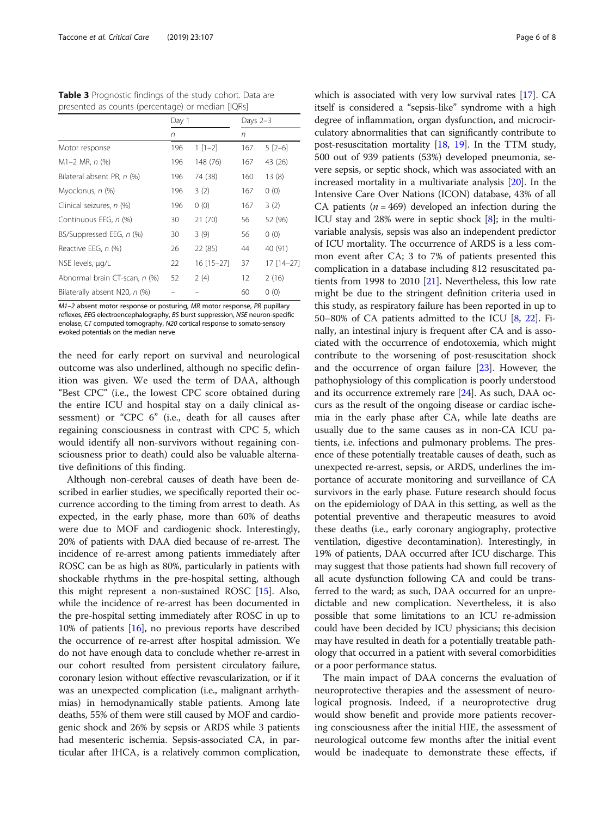<span id="page-5-0"></span>Table 3 Prognostic findings of the study cohort. Data are presented as counts (percentage) or median [IQRs]

|                               | Day 1 |            | Days $2-3$ |            |
|-------------------------------|-------|------------|------------|------------|
|                               | n     |            | n          |            |
| Motor response                | 196   | $1 [1-2]$  | 167        | $5$ [2-6]  |
| $M1-2$ MR, $n$ (%)            | 196   | 148 (76)   | 167        | 43 (26)    |
| Bilateral absent PR, n (%)    | 196   | 74 (38)    | 160        | 13(8)      |
| Myoclonus, n (%)              | 196   | 3(2)       | 167        | 0(0)       |
| Clinical seizures, n (%)      | 196   | 0(0)       | 167        | 3(2)       |
| Continuous EEG, n (%)         | 30    | 21(70)     | 56         | 52 (96)    |
| BS/Suppressed EEG, n (%)      | 30    | 3(9)       | 56         | 0(0)       |
| Reactive EEG, n (%)           | 26    | 22 (85)    | 44         | 40 (91)    |
| NSE levels, µg/L              | 22    | 16 [15-27] | 37         | 17 [14-27] |
| Abnormal brain CT-scan, n (%) | 52    | 2(4)       | 12         | 2(16)      |
| Bilaterally absent N20, n (%) |       |            | 60         | 0(0)       |

M1–2 absent motor response or posturing, MR motor response, PR pupillary reflexes, EEG electroencephalography, BS burst suppression, NSE neuron-specific enolase, CT computed tomography, N20 cortical response to somato-sensory evoked potentials on the median nerve

the need for early report on survival and neurological outcome was also underlined, although no specific definition was given. We used the term of DAA, although "Best CPC" (i.e., the lowest CPC score obtained during the entire ICU and hospital stay on a daily clinical assessment) or "CPC 6" (i.e., death for all causes after regaining consciousness in contrast with CPC 5, which would identify all non-survivors without regaining consciousness prior to death) could also be valuable alternative definitions of this finding.

Although non-cerebral causes of death have been described in earlier studies, we specifically reported their occurrence according to the timing from arrest to death. As expected, in the early phase, more than 60% of deaths were due to MOF and cardiogenic shock. Interestingly, 20% of patients with DAA died because of re-arrest. The incidence of re-arrest among patients immediately after ROSC can be as high as 80%, particularly in patients with shockable rhythms in the pre-hospital setting, although this might represent a non-sustained ROSC [[15](#page-7-0)]. Also, while the incidence of re-arrest has been documented in the pre-hospital setting immediately after ROSC in up to 10% of patients [\[16\]](#page-7-0), no previous reports have described the occurrence of re-arrest after hospital admission. We do not have enough data to conclude whether re-arrest in our cohort resulted from persistent circulatory failure, coronary lesion without effective revascularization, or if it was an unexpected complication (i.e., malignant arrhythmias) in hemodynamically stable patients. Among late deaths, 55% of them were still caused by MOF and cardiogenic shock and 26% by sepsis or ARDS while 3 patients had mesenteric ischemia. Sepsis-associated CA, in particular after IHCA, is a relatively common complication, which is associated with very low survival rates [\[17](#page-7-0)]. CA itself is considered a "sepsis-like" syndrome with a high degree of inflammation, organ dysfunction, and microcirculatory abnormalities that can significantly contribute to post-resuscitation mortality [[18](#page-7-0), [19\]](#page-7-0). In the TTM study, 500 out of 939 patients (53%) developed pneumonia, severe sepsis, or septic shock, which was associated with an increased mortality in a multivariate analysis [\[20\]](#page-7-0). In the Intensive Care Over Nations (ICON) database, 43% of all CA patients ( $n = 469$ ) developed an infection during the ICU stay and 28% were in septic shock [[8](#page-7-0)]; in the multivariable analysis, sepsis was also an independent predictor of ICU mortality. The occurrence of ARDS is a less common event after CA; 3 to 7% of patients presented this complication in a database including 812 resuscitated patients from 1998 to 2010 [\[21\]](#page-7-0). Nevertheless, this low rate might be due to the stringent definition criteria used in this study, as respiratory failure has been reported in up to 50–80% of CA patients admitted to the ICU [[8,](#page-7-0) [22](#page-7-0)]. Finally, an intestinal injury is frequent after CA and is associated with the occurrence of endotoxemia, which might contribute to the worsening of post-resuscitation shock and the occurrence of organ failure [\[23\]](#page-7-0). However, the pathophysiology of this complication is poorly understood and its occurrence extremely rare [[24](#page-7-0)]. As such, DAA occurs as the result of the ongoing disease or cardiac ischemia in the early phase after CA, while late deaths are usually due to the same causes as in non-CA ICU patients, i.e. infections and pulmonary problems. The presence of these potentially treatable causes of death, such as unexpected re-arrest, sepsis, or ARDS, underlines the importance of accurate monitoring and surveillance of CA survivors in the early phase. Future research should focus on the epidemiology of DAA in this setting, as well as the potential preventive and therapeutic measures to avoid these deaths (i.e., early coronary angiography, protective ventilation, digestive decontamination). Interestingly, in 19% of patients, DAA occurred after ICU discharge. This may suggest that those patients had shown full recovery of all acute dysfunction following CA and could be transferred to the ward; as such, DAA occurred for an unpredictable and new complication. Nevertheless, it is also possible that some limitations to an ICU re-admission could have been decided by ICU physicians; this decision may have resulted in death for a potentially treatable pathology that occurred in a patient with several comorbidities or a poor performance status.

The main impact of DAA concerns the evaluation of neuroprotective therapies and the assessment of neurological prognosis. Indeed, if a neuroprotective drug would show benefit and provide more patients recovering consciousness after the initial HIE, the assessment of neurological outcome few months after the initial event would be inadequate to demonstrate these effects, if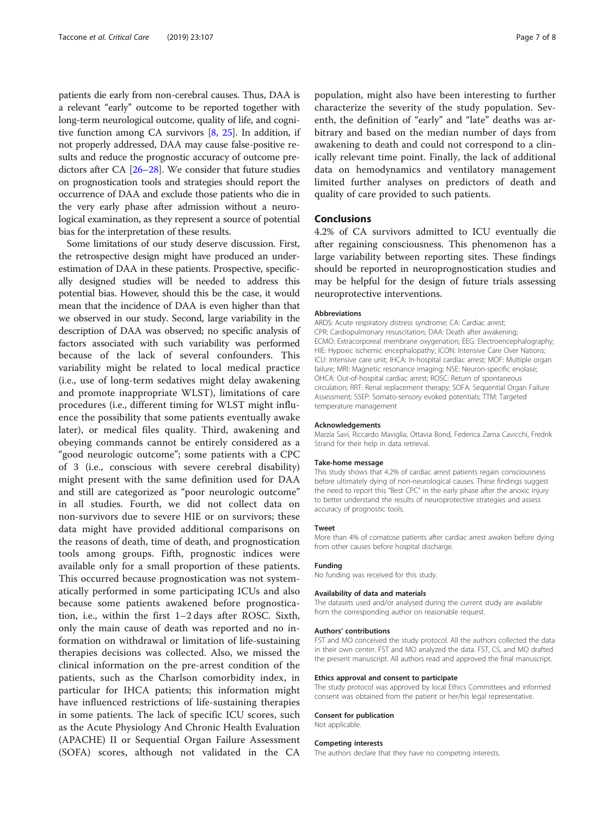patients die early from non-cerebral causes. Thus, DAA is a relevant "early" outcome to be reported together with long-term neurological outcome, quality of life, and cognitive function among CA survivors [[8](#page-7-0), [25\]](#page-7-0). In addition, if not properly addressed, DAA may cause false-positive results and reduce the prognostic accuracy of outcome predictors after CA [\[26](#page-7-0)–[28\]](#page-7-0). We consider that future studies on prognostication tools and strategies should report the occurrence of DAA and exclude those patients who die in the very early phase after admission without a neurological examination, as they represent a source of potential bias for the interpretation of these results.

Some limitations of our study deserve discussion. First, the retrospective design might have produced an underestimation of DAA in these patients. Prospective, specifically designed studies will be needed to address this potential bias. However, should this be the case, it would mean that the incidence of DAA is even higher than that we observed in our study. Second, large variability in the description of DAA was observed; no specific analysis of factors associated with such variability was performed because of the lack of several confounders. This variability might be related to local medical practice (i.e., use of long-term sedatives might delay awakening and promote inappropriate WLST), limitations of care procedures (i.e., different timing for WLST might influence the possibility that some patients eventually awake later), or medical files quality. Third, awakening and obeying commands cannot be entirely considered as a "good neurologic outcome"; some patients with a CPC of 3 (i.e., conscious with severe cerebral disability) might present with the same definition used for DAA and still are categorized as "poor neurologic outcome" in all studies. Fourth, we did not collect data on non-survivors due to severe HIE or on survivors; these data might have provided additional comparisons on the reasons of death, time of death, and prognostication tools among groups. Fifth, prognostic indices were available only for a small proportion of these patients. This occurred because prognostication was not systematically performed in some participating ICUs and also because some patients awakened before prognostication, i.e., within the first 1–2 days after ROSC. Sixth, only the main cause of death was reported and no information on withdrawal or limitation of life-sustaining therapies decisions was collected. Also, we missed the clinical information on the pre-arrest condition of the patients, such as the Charlson comorbidity index, in particular for IHCA patients; this information might have influenced restrictions of life-sustaining therapies in some patients. The lack of specific ICU scores, such as the Acute Physiology And Chronic Health Evaluation (APACHE) II or Sequential Organ Failure Assessment (SOFA) scores, although not validated in the CA

population, might also have been interesting to further characterize the severity of the study population. Seventh, the definition of "early" and "late" deaths was arbitrary and based on the median number of days from awakening to death and could not correspond to a clinically relevant time point. Finally, the lack of additional data on hemodynamics and ventilatory management limited further analyses on predictors of death and quality of care provided to such patients.

#### Conclusions

4.2% of CA survivors admitted to ICU eventually die after regaining consciousness. This phenomenon has a large variability between reporting sites. These findings should be reported in neuroprognostication studies and may be helpful for the design of future trials assessing neuroprotective interventions.

#### Abbreviations

ARDS: Acute respiratory distress syndrome; CA: Cardiac arrest; CPR: Cardiopulmonary resuscitation; DAA: Death after awakening; ECMO: Extracorporeal membrane oxygenation; EEG: Electroencephalography; HIE: Hypoxic ischemic encephalopathy; ICON: Intensive Care Over Nations; ICU: Intensive care unit; IHCA: In-hospital cardiac arrest; MOF: Multiple organ failure; MRI: Magnetic resonance imaging; NSE: Neuron-specific enolase; OHCA: Out-of-hospital cardiac arrest; ROSC: Return of spontaneous circulation; RRT: Renal replacement therapy; SOFA: Sequential Organ Failure Assessment; SSEP: Somato-sensory evoked potentials; TTM: Targeted temperature management

#### Acknowledgements

Marzia Savi, Riccardo Maviglia, Ottavia Bond, Federica Zama Cavicchi, Fredrik Strand for their help in data retrieval.

#### Take-home message

This study shows that 4.2% of cardiac arrest patients regain consciousness before ultimately dying of non-neurological causes. These findings suggest the need to report this "Best CPC" in the early phase after the anoxic injury to better understand the results of neuroprotective strategies and assess accuracy of prognostic tools.

#### Tweet

More than 4% of comatose patients after cardiac arrest awaken before dying from other causes before hospital discharge.

#### Funding

No funding was received for this study.

#### Availability of data and materials

The datasets used and/or analysed during the current study are available from the corresponding author on reasonable request.

#### Authors' contributions

FST and MO conceived the study protocol. All the authors collected the data in their own center. FST and MO analyzed the data. FST, CS, and MO drafted the present manuscript. All authors read and approved the final manuscript.

#### Ethics approval and consent to participate

The study protocol was approved by local Ethics Committees and informed consent was obtained from the patient or her/his legal representative.

#### Consent for publication Not applicable.

#### Competing interests

The authors declare that they have no competing interests.